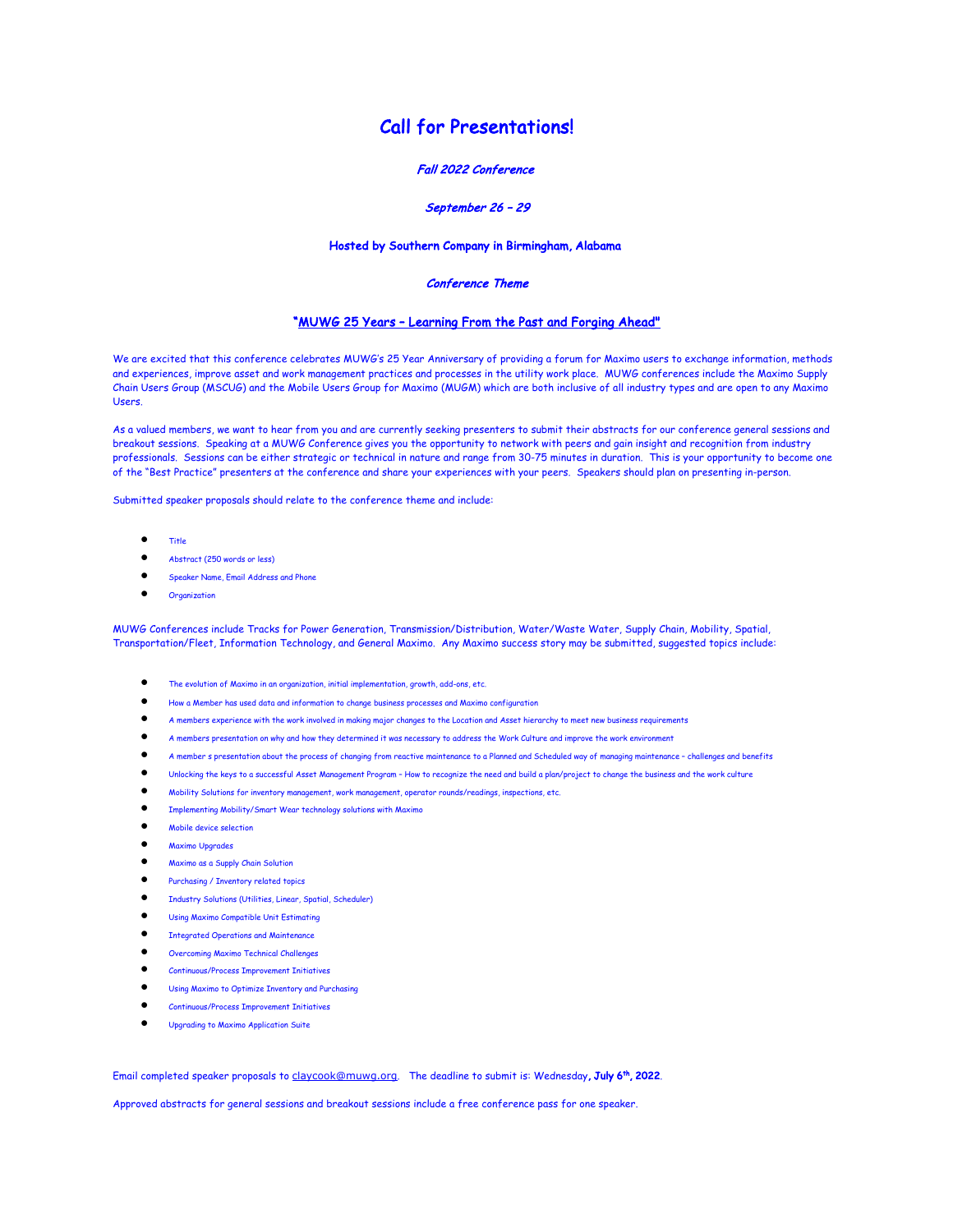# Call for Presentations!

### Fall 2022 Conference

## September 26 – 29

## Hosted by Southern Company in Birmingham, Alabama

#### Conference Theme

#### "MUWG 25 Years – Learning From the Past and Forging Ahead"

We are excited that this conference celebrates MUWG's 25 Year Anniversary of providing a forum for Maximo users to exchange information, methods and experiences, improve asset and work management practices and processes in the utility work place. MUWG conferences include the Maximo Supply Chain Users Group (MSCUG) and the Mobile Users Group for Maximo (MUGM) which are both inclusive of all industry types and are open to any Maximo Users.

As a valued members, we want to hear from you and are currently seeking presenters to submit their abstracts for our conference general sessions and breakout sessions. Speaking at a MUWG Conference gives you the opportunity to network with peers and gain insight and recognition from industry professionals. Sessions can be either strategic or technical in nature and range from 30-75 minutes in duration. This is your opportunity to become one of the "Best Practice" presenters at the conference and share your experiences with your peers. Speakers should plan on presenting in-person.

Submitted speaker proposals should relate to the conference theme and include:

- Title
- Abstract (250 words or less)
- Speaker Name, Email Address and Phone
- Organization

MUWG Conferences include Tracks for Power Generation, Transmission/Distribution, Water/Waste Water, Supply Chain, Mobility, Spatial, Transportation/Fleet, Information Technology, and General Maximo. Any Maximo success story may be submitted, suggested topics include:

- The evolution of Maximo in an organization, initial implementation, growth, add-ons, etc.
- How a Member has used data and information to change business processes and Maximo configuration
- A members experience with the work involved in making major changes to the Location and Asset hierarchy to meet new business requirements
- A members presentation on why and how they determined it was necessary to address the Work Culture and improve the work environment
- A member s presentation about the process of changing from reactive maintenance to a Planned and Scheduled way of managing maintenance challenges and benefits
- Unlocking the keys to a successful Asset Management Program How to recognize the need and build a plan/project to change the business and the work culture
- Mobility Solutions for inventory management, work management, operator rounds/readings, inspections, etc.
- Implementing Mobility/Smart Wear technology solutions with Maximo
- Mobile device selection
- Maximo Upgrades
- Maximo as a Supply Chain Solution
- Purchasing / Inventory related topics
- Industry Solutions (Utilities, Linear, Spatial, Scheduler)
- Using Maximo Compatible Unit Estimating
- Integrated Operations and Maintenance
- Overcoming Maximo Technical Challenges
- Continuous/Process Improvement Initiatives
- Using Maximo to Optimize Inventory and Purchasing
- Continuous/Process Improvement Initiatives
- Upgrading to Maximo Application Suite

Email completed speaker proposals to claycook@muwg.org. The deadline to submit is: Wednesday, July 6<sup>th</sup>, 2022.

Approved abstracts for general sessions and breakout sessions include a free conference pass for one speaker.